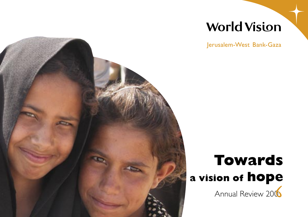### **World Vision**

Jerusalem-West Bank-Gaza



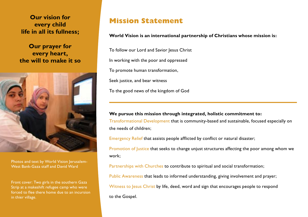**Our vision for every child life in all its fullness;**

**Our prayer for every heart, the will to make it so**



Photos and text by World Vision Jerusalem-West Bank-Gaza staff and David Ward

Front cover: Two girls in the southern Gaza Strip at a makeshift refugee camp who were forced to flee there home due to an incursion in thier village.

#### **Mission Statement**

#### **World Vision is an international partnership of Christians whose mission is:**

To follow our Lord and Savior Jesus Christ In working with the poor and oppressed To promote human transformation, Seek justice, and bear witness To the good news of the kingdom of God

#### **We pursue this mission through integrated, holistic commitment to:**

Transformational Development that is community-based and sustainable, focused especially on the needs of children;

Emergency Relief that assists people afflicted by conflict or natural disaster;

Promotion of Justice that seeks to change unjust structures affecting the poor among whom we work;

Partnerships with Churches to contribute to spiritual and social transformation;

Public Awareness that leads to informed understanding, giving involvement and prayer;

Witness to Jesus Christ by life, deed, word and sign that encourages people to respond

to the Gospel.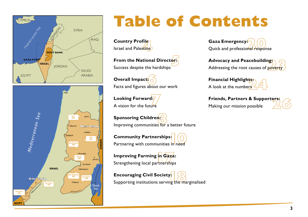



# **Table of Contents**

**Country Profile**  Israel and Palestine

**From the National Director:**  Success despite the hardships

**Overall Impact:** Facts and figures about our work

**Looking Forward:** A vision for the future

**Sponsoring Children:** Improving communities for a better future

**Community Partnerships:** Partnering with communities in need

**Improving Farming in Gaza:** Strengthening local partnerships

**Encouraging Civil Society:**  $\circ$ Supporting institutions serving the marginalised

**Gaza Emergency:** Quick and professional response

**Advocacy and Peacebuilding:** Addressing the root causes of poverty

**Financial Highlights:** A look at the numbers

**Friends, Partners & Supporters:** Making our mission possible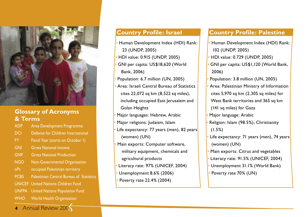

#### **Glossary of Acronyms & Terms**

- ADP Area Development Programme DCI Defense for Children International FY Fiscal Year (starts on October 1) GNI Gross National Income GNP Gross National Production NGO Non-Governmental Organisation oPt occupied Palestinian territory PCBS Palestinian Central Bureau of Statistics UNICEF United Nations Children Fund UNFPA United Nations Population Fund WHO World Health Organisation
- **4** Annual Review 2006

#### **Country Profile: Israel**

- Human Development Index (HDI) Rank: 23 (UNDP, 2005)
- HDI value: 0.915 (UNDP, 2005)
- GNI per capita: US\$18,620 (World Bank, 2006)
- Population: 6.7 million (UN, 2005)
- Area: Israeli Central Bureau of Statistics cites 22,072 sq km (8,522 sq miles), including occupied East Jerusalem and Golan Heights
- Major languages: Hebrew, Arabic
- Major religions: Judaism, Islam
- Life expectancy: 77 years (men), 82 years (women) (UN)
- Main exports: Computer software, military equipment, chemicals and agricultural products
- Literacy rate: 97% (UNICEF, 2004)
- Unemployment 8.6% (2006)
- Poverty rate 22.4% (2004)

#### **Country Profile: Palestine**

- Human Development Index (HDI) Rank: 102 (UNDP, 2005)
- HDI value: 0.729 (UNDP, 2005)
- GNI per capita: US\$1,120 (World Bank, 2006)
- Population: 3.8 million (UN, 2005)
- Area: Palestinian Ministry of Information cites 5,970 sq km (2,305 sq miles) for West Bank territories and 365 sq km (141 sq miles) for Gaza
- Major language: Arabic
- Religion: Islam (98.5%); Christianity (1.5%)
- Life expectancy: 71 years (men), 74 years (women) (UN)
- Main exports: Citrus and vegetables
- Literacy rate: 91.5% (UNICEF, 2004)
- Unemployment 31.1% (World Bank)
- Poverty rate 70% (UN)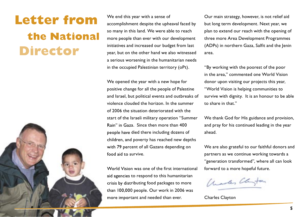## **Letter from the National Director**



We end this year with a sense of accomplishment despite the upheaval faced by so many in this land. We were able to reach more people than ever with our development initiatives and increased our budget from last year, but on the other hand we also witnessed a serious worsening in the humanitarian needs in the occupied Palestinian territory (oPt).

We opened the year with a new hope for positive change for all the people of Palestine and Israel, but political events and outbreaks of violence clouded the horizon. In the summer of 2006 the situation deteriorated with the start of the Israeli military operation "Summer Rain" in Gaza. Since then more than 400 people have died there including dozens of children, and poverty has reached new depths with 79 percent of all Gazans depending on food aid to survive.

World Vision was one of the first international aid agencies to respond to this humanitarian crisis by distributing food packages to more than 100,000 people. Our work in 2006 was more important and needed than ever.

Our main strategy, however, is not relief aid but long term development. Next year, we plan to extend our reach with the opening of three more Area Development Programmes (ADPs) in northern Gaza, Salfit and the Jenin area.

"By working with the poorest of the poor in the area," commented one World Vision donor upon visiting our projects this year, "World Vision is helping communities to survive with dignity. It is an honour to be able to share in that."

We thank God for His guidance and provision, and pray for his continued leading in the year ahead.

We are also grateful to our faithful donors and partners as we continue working towards a "generation transformed", where all can look forward to a more hopeful future.

Charles Clayton

Charles Clayton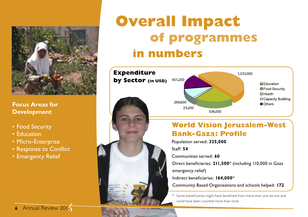

**Focus Areas for Development**

- Food Security
- Education
- Micro-Enterprise
- Response to Conflict
- Emergency Relief

# **Overall Impact of programmes in numbers**



#### **World Vision Jerusalem-West Bank-Gaza: Profile**

Population served: **325,000**

Staff: **54**

Communities served: **60**

Direct beneficiaries: **211,500**\* (including 110,000 in Gaza

emergency relief)

Indirect beneficiaries: **164,000**\*

Community Based Organisations and schools helped: **172**

\* Some beneficiaries might have benefited from more than one service and could have been counted more than once.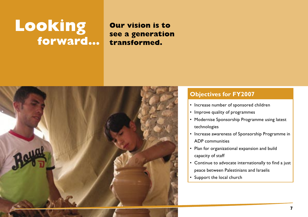# **Looking forward…**

#### **Our vision is to see a generation transformed.**



#### **Objectives for FY2007**

- Increase number of sponsored children
- Improve quality of programmes
- Modernise Sponsorship Programme using latest technologies
- Increase awareness of Sponsorship Programme in ADP communities
- Plan for organizational expansion and build capacity of staff
- Continue to advocate internationally to find a just peace between Palestinians and Israelis
- Support the local church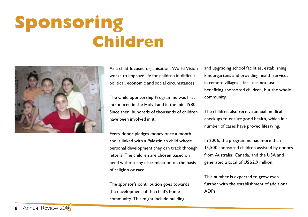# **Sponsoring Children**



As a child-focused organisation, World Vision works to improve life for children in difficult political, economic and social circumstances.

The Child Sponsorship Programme was first introduced in the Holy Land in the mid-1980s. Since then, hundreds of thousands of children have been involved in it.

Every donor pledges money once a month and is linked with a Palestinian child whose personal development they can track through letters. The children are chosen based on need without any discrimination on the basis of religion or race.

The sponsor's contribution goes towards the development of the child's home community. This might include building

and upgrading school facilities, establishing kindergartens and providing health services in remote villages – facilities not just benefiting sponsored children, but the whole community.

The children also receive annual medical checkups to ensure good health, which in a number of cases have proved lifesaving.

In 2006, the programme had more than 15,500 sponsored children assisted by donors from Australia, Canada, and the USA and generated a total of US\$2.9 million.

This number is expected to grow even further with the establishment of additional ADPs.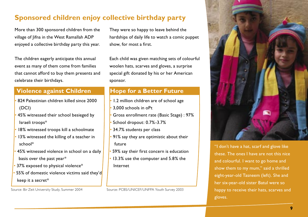#### **Sponsored children enjoy collective birthday party**

More than 300 sponsored children from the village of Jifna in the West Ramallah ADP enjoyed a collective birthday party this year.

The children eagerly anticipate this annual event as many of them come from families that cannot afford to buy them presents and celebrate their birthdays.

#### **Violence against Children**

- 824 Palestinian children killed since 2000 (DCI)
- 45% witnessed their school besieged by Israeli troops\*
- 18% witnessed troops kill a schoolmate
- 13% witnessed the killing of a teacher in school\*
- 45% witnessed violence in school on a daily basis over the past year\*
- 37% exposed to physical violence\*
- 55% of domestic violence victims said they'd keep it a secret\*

Source: Bir Zeit University Study, Summer 2004

They were so happy to leave behind the hardships of daily life to watch a comic puppet show, for most a first.

Each child was given matching sets of colourful woolen hats, scarves and gloves, a surprise special gift donated by his or her American sponsor.

#### **Hope for a Better Future**

- 1.2 million children are of school age
- 3,000 schools in oPt
- Gross enrollment rate (Basic Stage) : 97%
- School dropout: 0.7%-3.7%
- 34.7% students per class
- 91% say they are optimistic about their future
- 59% say their first concern is education
- 13.3% use the computer and 5.8% the Internet

Source: PCBS/UNICEF/UNFPA Youth Survey 2003



"I don't have a hat, scarf and glove like these. The ones I have are not this nice and colourful. I want to go home and show them to my mum," said a thrilled eight-year-old Tasneem (left). She and her six-year-old sister Batul were so happy to receive their hats, scarves and gloves.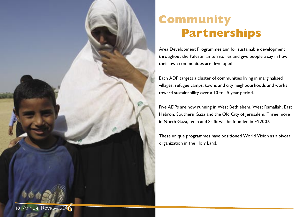

### **Community Partnerships**

Area Development Programmes aim for sustainable development throughout the Palestinian territories and give people a say in how their own communities are developed.

Each ADP targets a cluster of communities living in marginalised villages, refugee camps, towns and city neighbourhoods and works toward sustainability over a 10 to 15 year period.

Five ADPs are now running in West Bethlehem, West Ramallah, East Hebron, Southern Gaza and the Old City of Jerusalem. Three more in North Gaza, Jenin and Salfit will be founded in FY2007.

These unique programmes have positioned World Vision as a pivotal organization in the Holy Land.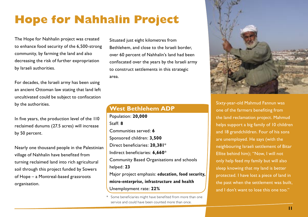### **Hope for Nahhalin Project**

 **Partnerships** The Hope for Nahhalin project was created to enhance food security of the 6,500-strong community, by farming the land and also decreasing the risk of further expropriation by Israeli authorities.

> For decades, the Israeli army has been using an ancient Ottoman law stating that land left uncultivated could be subject to confiscation by the authorities.

> In five years, the production level of the 110 reclaimed dunums (27.5 acres) will increase by 50 percent.

Nearly one thousand people in the Palestinian village of Nahhalin have benefited from turning reclaimed land into rich agricultural soil through this project funded by Sowers of Hope – a Montreal-based grassroots organisation.

Situated just eight kilometres from Bethlehem, and close to the Israeli border, over 60 percent of Nahhalin's land had been confiscated over the years by the Israeli army to construct settlements in this strategic area.

#### **West Bethlehem ADP**

Population: **20,000** Staff: **8** Communities served: **6** Sponsored children: **3,500** Direct beneficiaries: **20,381**\* Indirect beneficiaries: **6,660**\* Community Based Organisations and schools helped: **23** Major project emphasis: **education, food security, micro-enterprise, infrastructure and health** Unemployment rate: **22%**



Sixty-year-old Mahmud Fannun was one of the farmers benefiting from the land reclamation project. Mahmud helps support a big family of 10 children and 18 grandchildren. Four of his sons are unemployed. He says (with the neighbouring Israeli settlement of Bitar Ellite behind him); "Now, I will not only help feed my family but will also sleep knowing that my land is better protected. I have lost a piece of land in the past when the settlement was built, and I don't want to lose this one too."

Some beneficiaries might have benefited from more than one service and could have been counted more than once.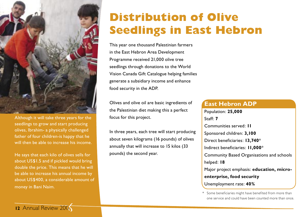

Although it will take three years for the seedlings to grow and start producing olives, Ibrahim- a physically challenged father of four children-is happy that he will then be able to increase his income.

He says that each kilo of olives sells for about US\$1.5 and if pickled would bring double the price. This means that he will be able to increase his annual income by about US\$400, a considerable amount of money in Bani Naim.

### **Distribution of Olive Seedlings in East Hebron**

This year one thousand Palestinian farmers in the East Hebron Area Development Programme received 21,000 olive tree seedlings through donations to the World Vision Canada Gift Catalogue helping families generate a subsidiary income and enhance food security in the ADP.

Olives and olive oil are basic ingredients of the Palestinian diet making this a perfect focus for this project.

In three years, each tree will start producing about seven kilograms (16 pounds) of olives annually that will increase to 15 kilos (33 pounds) the second year.

#### **East Hebron ADP**

Population: **25,000** Staff: **7** Communities served: **11** Sponsored children: **3,100** Direct beneficiaries: **13,740**\* Indirect beneficiaries: **11,000**\* Community Based Organisations and schools helped: **18** Major project emphasis: **education, microenterprise, food security**  Unemployment rate: **40%**

\* Some beneficiaries might have benefited from more than one service and could have been counted more than once.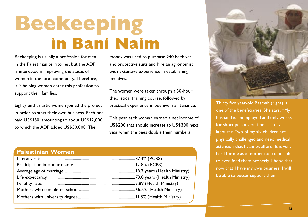# **Beekeeping in Bani Naim**

Beekeeping is usually a profession for men in the Palestinian territories, but the ADP is interested in improving the status of women in the local community. Therefore, it is helping women enter this profession to support their families.

Eighty enthusiastic women joined the project in order to start their own business. Each one paid US\$150, amounting to about US\$12,000, to which the ADP added US\$50,000. The

money was used to purchase 240 beehives and protective suits and hire an agronomist with extensive experience in establishing beehives.

The women were taken through a 30-hour theoretical training course, followed by practical experience in beehive maintenance.

This year each woman earned a net income of US\$200 that should increase to US\$300 next year when the bees double their numbers.

#### **Palestinian Women**



Thirty five year-old Basmah (right) is one of the beneficiaries. She says: "My husband is unemployed and only works for short periods of time as a day labourer. Two of my six children are physically challenged and need medical attention that I cannot afford. It is very hard for me as a mother not to be able to even feed them properly. I hope that now that I have my own business, I will be able to better support them."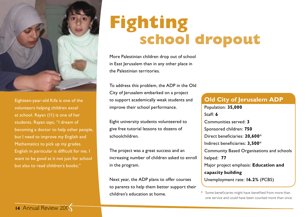

Eighteen-year-old Kifa is one of the volunteers helping children excel at school. Rayan (11) is one of her students. Rayan says, "I dream of becoming a doctor to help other people, but I need to improve my English and Mathematics to pick up my grades. English in particular is difficult for me. I want to be good at it not just for school but also to read children's books."

# **Fighting school dropout**

More Palestinian children drop out of school in East Jerusalem than in any other place in the Palestinian territories.

To address this problem, the ADP in the Old City of Jerusalem embarked on a project to support academically weak students and improve their school performance.

Eight university students volunteered to give free tutorial lessons to dozens of schoolchildren.

The project was a great success and an increasing number of children asked to enroll in the program.

Next year, the ADP plans to offer courses to parents to help them better support their children's education at home.

#### **Old City of Jerusalem ADP**

Population: **35,000** Staff: **6** Communities served: **3** Sponsored children: **750** Direct beneficiaries: **20,600**\* Indirect beneficiaries: **3,500**\* Community Based Organisations and schools helped: **77** Major project emphasis: **Education and capacity building** Unemployment rate: **16.2%** (PCBS)

\* Some beneficiaries might have benefited from more than one service and could have been counted more than once.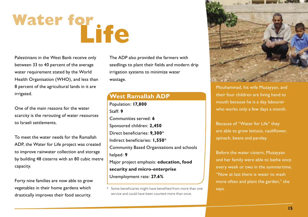# Water for **Life**

Palestinians in the West Bank receive only between 33 to 40 percent of the average water requirement stated by the World Health Organisation (WHO), and less than 8 percent of the agricultural lands in it are irrigated.

One of the main reasons for the water scarcity is the rerouting of water resources to Israeli settlements.

To meet the water needs for the Ramallah ADP, the Water for Life project was created to improve rainwater collection and storage by building 48 cisterns with an 80 cubic metre capacity.

Forty nine families are now able to grow vegetables in their home gardens which drastically improves their food security.

The ADP also provided the farmers with seedlings to plant their fields and modern drip irrigation systems to minimize water wastage.

#### **West Ramallah ADP**

Population: **17,800** Staff: **9** Communities served: **6** Sponsored children: **2,450** Direct beneficiaries: **9,300**\* Indirect beneficiaries: **1,550**\* Community Based Organisations and schools helped: **9** Major project emphasis: **education, food security and micro-enterprise** Unemployment rate: **27.6%**



Mouhammad, his wife Muzayyan, and their four children are living hand to mouth because he is a day labourer who works only a few days a month.

Because of "Water for Life" they are able to grow lettuce, cauliflower, spinach, beans and parsley.

Before the water cistern, Muzayyan and her family were able to bathe once every week or two in the summertime. "Now at last there is water to wash more often and plant the garden," she says.

Some beneficiaries might have benefited from more than one service and could have been counted more than once.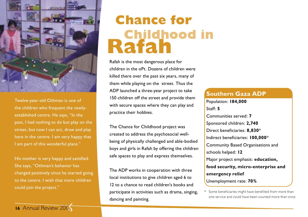

Twelve-year-old Othman is one of the children who frequent the newlyestablished centre. He says, "In the past, I had nothing to do but play on the street, but now I can act, draw and play here in the centre. I am very happy that I am part of this wonderful place."

His mother is very happy and satisfied. She says, "Othman's behavior has changed positively since he started going to the centre. I wish that more children could join the project."

# **Chance for Childhood in Rafah**

Rafah is the most dangerous place for children in the oPt. Dozens of children were killed there over the past six years, many of them while playing on the street. Thus the ADP launched a three-year project to take 150 children off the street and provide them with secure spaces where they can play and practice their hobbies.

The Chance for Childhood project was created to address the psychosocial wellbeing of physically challenged and able-bodied boys and girls in Rafah by offering the children safe spaces to play and express themselves.

The ADP works in cooperation with three local institutions to give children aged 6 to 12 to a chance to read children's books and participate in activities such as drama, singing, dancing and painting.

#### **Southern Gaza ADP**

Population: **184,000** Staff: **5** Communities served: **7** Sponsored children: **2,740** Direct beneficiaries: **8,830**\* Indirect beneficiaries: **100,000**\* Community Based Organisations and schools helped: **12** Major project emphasis: **education, food security, micro-enterprise and emergency relief** Unemployment rate: **70%** 

\* Some beneficiaries might have benefited from more than one service and could have been counted more than once.

#### **16** Annual Review 2006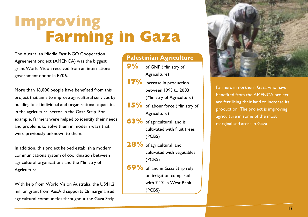# **Improving Farming in Gaza**

The Australian Middle East NGO Cooperation Agreement project (AMENCA) was the biggest grant World Vision received from an international government donor in FY06.

More than 18,000 people have benefited from this project that aims to improve agricultural services by building local individual and organizational capacities in the agricultural sector in the Gaza Strip. For example, farmers were helped to identify their needs and problems to solve them in modern ways that were previously unknown to them.

In addition, this project helped establish a modern communications system of coordination between agricultural organizations and the Ministry of Agriculture.

With help from World Vision Australia, the US\$1.2 million grant from AusAid supports 26 marginalised agricultural communities throughout the Gaza Strip.

#### **Palestinian Agriculture 9%** of GNP (Ministry of Agriculture) **17%** increase in production between 1993 to 2003 (Ministry of Agriculture)

- **15%** of labour force (Ministry of Agriculture)
- **63%** of agricultural land is cultivated with fruit trees (PCBS)
- **28%** of agricultural land cultivated with vegetables (PCBS)
- **69%** of land in Gaza Strip rely on irrigation compared with 7.4% in West Bank (PCBS)



Farmers in northern Gaza who have benefited from the AMENCA project are fertilising their land to increase its production. The project is improving agriculture in some of the most marginalised areas in Gaza.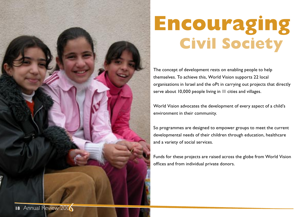

# **Encouraging Civil Society**

The concept of development rests on enabling people to help themselves. To achieve this, World Vision supports 22 local organisations in Israel and the oPt in carrying out projects that directly serve about 10,000 people living in 11 cities and villages.

World Vision advocates the development of every aspect of a child's environment in their community.

So programmes are designed to empower groups to meet the current developmental needs of their children through education, healthcare and a variety of social services.

Funds for these projects are raised across the globe from World Vision offices and from individual private donors.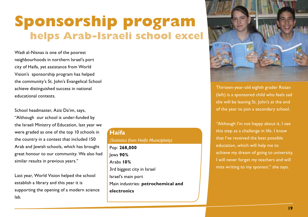### **Sponsorship program helps Arab-Israeli school excel**

Wadi al-Nisnas is one of the poorest neighbourhoods in northern Israel's port city of Haifa, yet assistance from World Vision's sponsorship program has helped the community's St. John's Evangelical School achieve distinguished success in national educational contests.

School headmaster, Aziz Da'im, says,

"Although our school is under-funded by the Israeli Ministry of Education, last year we were graded as one of the top 10 schools in the country in a contest that included 150 Arab and Jewish schools, which has brought great honour to our community. We also had similar results in previous years."

Last year, World Vision helped the school establish a library and this year it is supporting the opening of a modern science lab.

#### **Haifa** *(Statistics from Haifa Municiplaity)* Pop: **268,000** Jews **90%** Arabs **10%** 3rd biggest city in Israel Israel's main port Main industries: **petrochemical and electronics**



Thirteen-year-old eighth grader Rozan (left) is a sponsored child who feels sad she will be leaving St. John's at the end of the year to join a secondary school.

"Although I'm not happy about it, I see this step as a challenge in life. I know that I've received the best possible education, which will help me to achieve my dream of going to university. I will never forget my teachers and will miss writing to my sponsor," she says.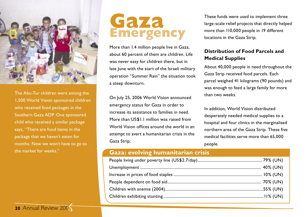

The Abu-Tur children were among the 1,500 World Vision sponsored children who received food packages in the Southern Gaza ADP. One sponsored child who received a similar package says, "There are food items in the package that we haven't eaten for months. Now we won't have to go to the market for weeks."

**20** Annual Review 2006

### **Gaza Emergency**

More than 1.4 million people live in Gaza, about 60 percent of them are children. Life was never easy for children there, but in late lune with the start of the Israeli military operation "Summer Rain" the situation took a steep downturn.

On July 25, 2006 World Vision announced emergency status for Gaza in order to increase its assistance to families in need. More than US\$1.1 million was raised from World Vision offices around the world in an attempt to avert a humanitarian crisis in the Gaza Strip.

These funds were used to implement three large-scale relief projects that directly helped more than 110,000 people in 19 different locations in the Gaza Strip.

#### **Distribution of Food Parcels and Medical Supplies**

About 40,000 people in need throughout the Gaza Strip received food parcels. Each parcel weighed 41 kilograms (90 pounds) and was enough to feed a large family for more than two weeks.

In addition, World Vision distributed desperately needed medical supplies to a hospital and four clinics in the marginalised northern area of the Gaza Strip. These five medical facilities serve more than 65,000 people.

#### **Gaza: evolving humanitarian crisis**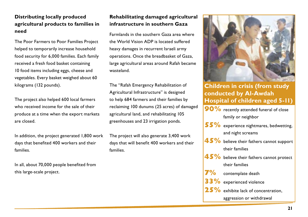#### **Distributing locally produced agricultural products to families in need**

The Poor Farmers to Poor Families Project helped to temporarily increase household food security for 6,000 families. Each family received a fresh food basket containing 10 food items including eggs, cheese and vegetables. Every basket weighed about 60 kilograms (132 pounds).

The project also helped 600 local farmers who received income for the sale of their produce at a time when the export markets are closed.

In addition, the project generated 1,800 work days that benefited 400 workers and their families.

In all, about 70,000 people benefited from this large-scale project.

#### **Rehabilitating damaged agricultural infrastructure in southern Gaza**

Farmlands in the southern Gaza area where the World Vision ADP is located suffered heavy damages in recurrent Israeli army operations. Once the breadbasket of Gaza, large agricultural areas around Rafah became wasteland.

The "Rafah Emergency Rehabilitation of Agricultural Infrastructure" is designed to help 684 farmers and their families by reclaiming 100 dunums (25 acres) of damaged agricultural land, and rehabilitating 105 greenhouses and 23 irrigation ponds.

The project will also generate 3,400 work days that will benefit 400 workers and their families.



**Children in crisis (from study conducted by Al-Awdah Hospital of children aged 5-11) 90%** recently attended funeral of close

family or neighbor

- **55%** experience nightmares, bedwetting, and night screams
- **45%** believe their fathers cannot support their families
- **45%** believe their fathers cannot protect their families
	- **7%** contemplate death
	- experienced violence
- **25%** exhibite lack of concentration, aggression or withdrawal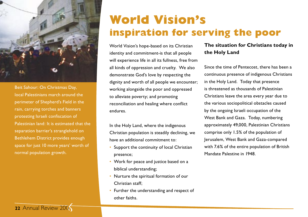

Beit Sahour: On Christmas Day, local Palestinians march around the perimeter of Shepherd's Field in the rain, carrying torches and banners protesting Israeli confiscation of Palestinian land: It is estimated that the separation barrier's stranglehold on Bethlehem District provides enough space for just 10 more years' worth of normal population growth.

### **World Vision's inspiration for serving the poor**

World Vision's hope-based on its Christian identity and commitment-is that all people will experience life in all its fullness, free from all kinds of oppression and cruelty. We also demonstrate God's love by respecting the dignity and worth of all people we encounter; working alongside the poor and oppressed to alleviate poverty; and promoting reconciliation and healing where conflict endures.

In the Holy Land, where the indigenous Christian population is steadily declining, we have an additional commitment to:

- Support the continuity of local Christian presence;
- Work for peace and justice based on a biblical understanding;
- Nurture the spiritual formation of our Christian staff;
- Further the understanding and respect of other faiths.

#### **The situation for Christians today in the Holy Land**

Since the time of Pentecost, there has been a continuous presence of indigenous Christians in the Holy Land. Today that presence is threatened as thousands of Palestinian Christians leave the area every year due to the various sociopolitical obstacles caused by the ongoing Israeli occupation of the West Bank and Gaza. Today, numbering approximately 49,000, Palestinian Christians comprise only 1.5% of the population of Jerusalem, West Bank and Gaza-compared with 7.6% of the entire population of British Mandate Palestine in 1948.

#### **22** Annual Review 2006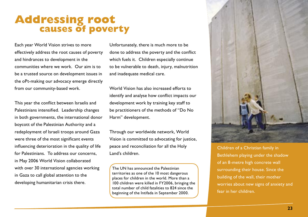#### **Addressing root causes of poverty**

Each year World Vision strives to more effectively address the root causes of poverty and hindrances to development in the communities where we work. Our aim is to be a trusted source on development issues in the oPt-making our advocacy emerge directly from our community-based work.

This year the conflict between Israelis and Palestinians intensified. Leadership changes in both governments, the international donor boycott of the Palestinian Authority and a redeployment of Israeli troops around Gaza were three of the most significant events influencing deterioration in the quality of life for Palestinians. To address our concerns in May 2006 World Vision collaborated with over 30 international agencies working in Gaza to call global attention to the developing humanitarian crisis there.

Unfortunately, there is much more to be done to address the poverty and the conflict which fuels it. Children especially continue to be vulnerable to death, injury, malnutrition and inadequate medical care.

World Vision has also increased efforts to identify and analyse how conflict impacts our development work by training key staff to be practitioners of the methods of "Do No Harm" development.

Through our worldwide network, World Vision is committed to advocating for justice, peace and reconciliation for all the Holy Land's children.

The UN has announced the Palestinian territories as one of the 10 most dangerous places for children in the world. More than a 100 children were killed in FY2006, bringing the total number of child fatalities to 824 since the beginning of the Intifada in September 2000.



Children of a Christian family in Bethlehem playing under the shadow of an 8-metre high concrete wall surrounding their house. Since the building of the wall, their mother worries about new signs of anxiety and fear in her children.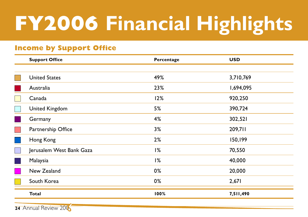# **FY2006 Financial Highlights**

#### **Income by Support Office**

| <b>Support Office</b>    | Percentage | <b>USD</b> |
|--------------------------|------------|------------|
|                          |            |            |
| <b>United States</b>     | 49%        | 3,710,769  |
| Australia                | 23%        | 1,694,095  |
| Canada                   | 12%        | 920,250    |
| <b>United Kingdom</b>    | 5%         | 390,724    |
| Germany                  | 4%         | 302,521    |
| Partnership Office       | 3%         | 209,711    |
| Hong Kong                | 2%         | 150,199    |
| Jerusalem West Bank Gaza | 1%         | 70,550     |
| Malaysia                 | 1%         | 40,000     |
| New Zealand              | 0%         | 20,000     |
| South Korea              | 0%         | 2,671      |
| <b>Total</b>             | 100%       | 7,511,490  |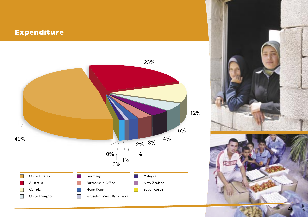# **FY2006 Financial Highlights Expenditure**





**25**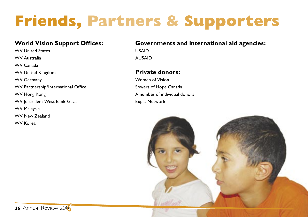# **Friends, Partners & Supporters**

#### **World Vision Support Offices:**

WV United States WV Australia WV Canada WV United Kingdom WV Germany WV Partnership/International Office WV Hong Kong WV Jerusalem-West Bank-Gaza WV Malaysia WV New Zealand WV Korea

#### **Governments and international aid agencies:**

USAID AUSAID

#### **Private donors:**

Women of Vision Sowers of Hope Canada A number of individual donors Expat Network

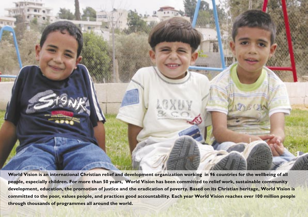

**World Vision is an international Christian relief and development organization working in 96 countries for the wellbeing of all people, especially children. For more than 50 years, World Vision has been committed to relief work, sustainable community development, education, the promotion of justice and the eradication of poverty. Based on its Christian heritage, World Vision is committed to the poor, values people, and practices good accountability. Each year World Vision reaches over 100 million people through thousands of programmes all around the world.**